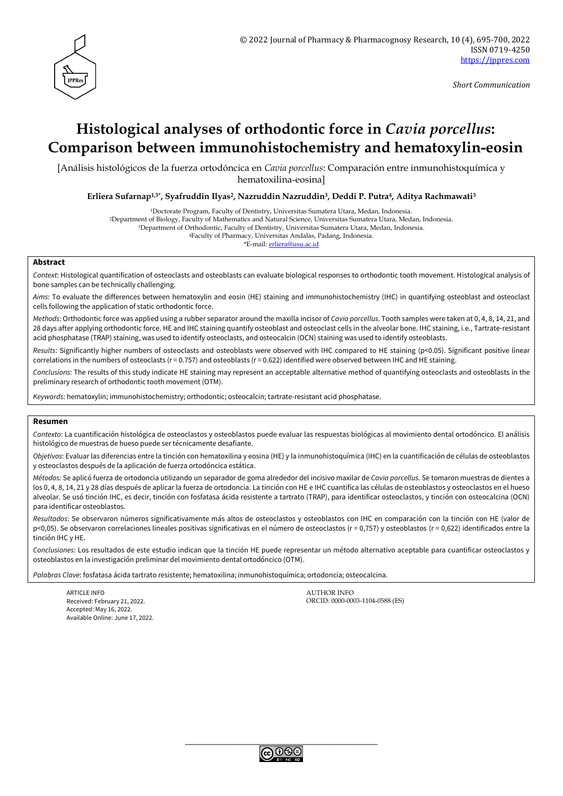

*Short Communication*

# **Histological analyses of orthodontic force in** *Cavia porcellus***: Comparison between immunohistochemistry and hematoxylin-eosin**

[Análisis histológicos de la fuerza ortodóncica en *Cavia porcellus*: Comparación entre inmunohistoquímica y hematoxilina-eosina]

**Erliera Sufarnap1,3\* , Syafruddin Ilyas2, Nazruddin Nazruddin3, Deddi P. Putra4, Aditya Rachmawati<sup>3</sup>**

<sup>1</sup>Doctorate Program, Faculty of Dentistry, Universitas Sumatera Utara, Medan, Indonesia.

<sup>2</sup>Department of Biology, Faculty of Mathematics and Natural Science, Universitas Sumatera Utara, Medan, Indonesia.

<sup>3</sup>Department of Orthodontic, Faculty of Dentistry, Universitas Sumatera Utara, Medan, Indonesia.

<sup>4</sup>Faculty of Pharmacy, Universitas Andalas, Padang, Indonesia.

\*E-mail: [erliera@usu.ac.id](mailto:erliera@usu.ac.id)

### **Abstract**

*Context*: Histological quantification of osteoclasts and osteoblasts can evaluate biological responses to orthodontic tooth movement. Histological analysis of bone samples can be technically challenging.

*Aims*: To evaluate the differences between hematoxylin and eosin (HE) staining and immunohistochemistry (IHC) in quantifying osteoblast and osteoclast cells following the application of static orthodontic force.

*Methods*: Orthodontic force was applied using a rubber separator around the maxilla incisor of *Cavia porcellus*. Tooth samples were taken at 0, 4, 8, 14, 21, and 28 days after applying orthodontic force. HE and IHC staining quantify osteoblast and osteoclast cells in the alveolar bone. IHC staining, i.e., Tartrate-resistant acid phosphatase (TRAP) staining, was used to identify osteoclasts, and osteocalcin (OCN) staining was used to identify osteoblasts.

*Results*: Significantly higher numbers of osteoclasts and osteoblasts were observed with IHC compared to HE staining (p<0.05). Significant positive linear correlations in the numbers of osteoclasts ( $r = 0.757$ ) and osteoblasts ( $r = 0.622$ ) identified were observed between IHC and HE staining.

*Conclusions*: The results of this study indicate HE staining may represent an acceptable alternative method of quantifying osteoclasts and osteoblasts in the preliminary research of orthodontic tooth movement (OTM).

*Keywords*: hematoxylin; immunohistochemistry; orthodontic; osteocalcin; tartrate-resistant acid phosphatase.

#### **Resumen**

*Contexto*: La cuantificación histológica de osteoclastos y osteoblastos puede evaluar las respuestas biológicas al movimiento dental ortodóncico. El análisis histológico de muestras de hueso puede ser técnicamente desafiante.

*Objetivos*: Evaluar las diferencias entre la tinción con hematoxilina y eosina (HE) y la inmunohistoquímica (IHC) en la cuantificación de células de osteoblastos y osteoclastos después de la aplicación de fuerza ortodóncica estática.

*Métodos:* Se aplicó fuerza de ortodoncia utilizando un separador de goma alrededor del incisivo maxilar de *Cavia porcellus*. Se tomaron muestras de dientes a los 0, 4, 8, 14, 21 y 28 días después de aplicar la fuerza de ortodoncia. La tinción con HE e IHC cuantifica las células de osteoblastos y osteoclastos en el hueso alveolar. Se usó tinción IHC, es decir, tinción con fosfatasa ácida resistente a tartrato (TRAP), para identificar osteoclastos, y tinción con osteocalcina (OCN) para identificar osteoblastos.

*Resultados*: Se observaron números significativamente más altos de osteoclastos y osteoblastos con IHC en comparación con la tinción con HE (valor de p<0,05). Se observaron correlaciones lineales positivas significativas en el número de osteoclastos (r = 0,757) y osteoblastos (r = 0,622) identificados entre la tinción IHC y HE.

*Conclusiones*: Los resultados de este estudio indican que la tinción HE puede representar un método alternativo aceptable para cuantificar osteoclastos y osteoblastos en la investigación preliminar del movimiento dental ortodóncico (OTM).

*Palabras Clave*: fosfatasa ácida tartrato resistente; hematoxilina; inmunohistoquímica; ortodoncia; osteocalcina.

ARTICLE INFO AUTHOR INFO Accepted: May 16, 2022. Available Online: June 17, 2022.

Received: February 21, 2022. ORCID: 0000-0003-1104-0588 (ES)

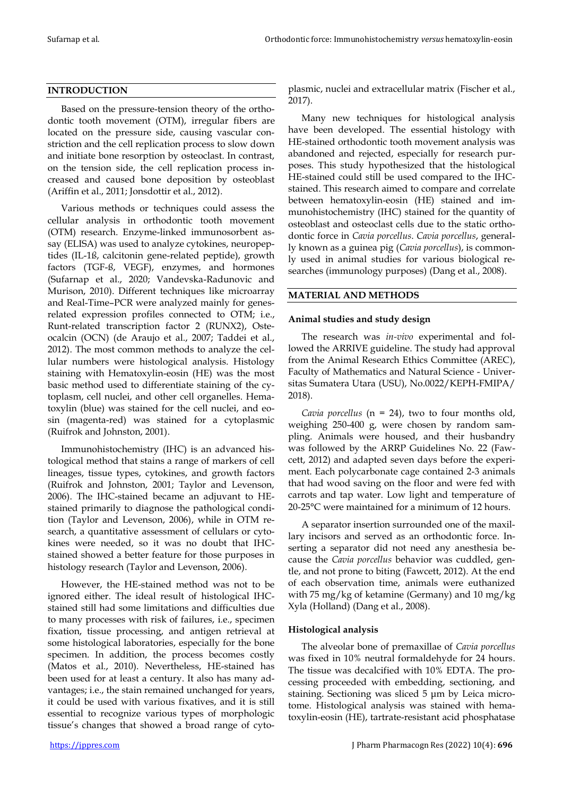## **INTRODUCTION**

Based on the pressure-tension theory of the orthodontic tooth movement (OTM), irregular fibers are located on the pressure side, causing vascular constriction and the cell replication process to slow down and initiate bone resorption by osteoclast. In contrast, on the tension side, the cell replication process increased and caused bone deposition by osteoblast (Ariffin et al., 2011; Jonsdottir et al., 2012).

Various methods or techniques could assess the cellular analysis in orthodontic tooth movement (OTM) research. Enzyme-linked immunosorbent assay (ELISA) was used to analyze cytokines, neuropeptides (IL-1ß, calcitonin gene-related peptide), growth factors (TGF-ß, VEGF), enzymes, and hormones (Sufarnap et al., 2020; Vandevska-Radunovic and Murison, 2010). Different techniques like microarray and Real-Time–PCR were analyzed mainly for genesrelated expression profiles connected to OTM; i.e., Runt-related transcription factor 2 (RUNX2), Osteocalcin (OCN) (de Araujo et al., 2007; Taddei et al., 2012). The most common methods to analyze the cellular numbers were histological analysis. Histology staining with Hematoxylin-eosin (HE) was the most basic method used to differentiate staining of the cytoplasm, cell nuclei, and other cell organelles. Hematoxylin (blue) was stained for the cell nuclei, and eosin (magenta-red) was stained for a cytoplasmic (Ruifrok and Johnston, 2001).

Immunohistochemistry (IHC) is an advanced histological method that stains a range of markers of cell lineages, tissue types, cytokines, and growth factors (Ruifrok and Johnston, 2001; Taylor and Levenson, 2006). The IHC-stained became an adjuvant to HEstained primarily to diagnose the pathological condition (Taylor and Levenson, 2006), while in OTM research, a quantitative assessment of cellulars or cytokines were needed, so it was no doubt that IHCstained showed a better feature for those purposes in histology research (Taylor and Levenson, 2006).

However, the HE-stained method was not to be ignored either. The ideal result of histological IHCstained still had some limitations and difficulties due to many processes with risk of failures, i.e., specimen fixation, tissue processing, and antigen retrieval at some histological laboratories, especially for the bone specimen. In addition, the process becomes costly (Matos et al., 2010). Nevertheless, HE-stained has been used for at least a century. It also has many advantages; i.e., the stain remained unchanged for years, it could be used with various fixatives, and it is still essential to recognize various types of morphologic tissue's changes that showed a broad range of cyto-

plasmic, nuclei and extracellular matrix (Fischer et al., 2017).

Many new techniques for histological analysis have been developed. The essential histology with HE-stained orthodontic tooth movement analysis was abandoned and rejected, especially for research purposes. This study hypothesized that the histological HE-stained could still be used compared to the IHCstained. This research aimed to compare and correlate between hematoxylin-eosin (HE) stained and immunohistochemistry (IHC) stained for the quantity of osteoblast and osteoclast cells due to the static orthodontic force in *Cavia porcellus*. *Cavia porcellus*, generally known as a guinea pig (*Cavia porcellus*), is commonly used in animal studies for various biological researches (immunology purposes) (Dang et al., 2008).

## **MATERIAL AND METHODS**

## **Animal studies and study design**

The research was *in-vivo* experimental and followed the ARRIVE guideline. The study had approval from the Animal Research Ethics Committee (AREC), Faculty of Mathematics and Natural Science - Universitas Sumatera Utara (USU), No.0022/KEPH-FMIPA/ 2018).

*Cavia porcellus* (n = 24), two to four months old, weighing 250-400 g, were chosen by random sampling. Animals were housed, and their husbandry was followed by the ARRP Guidelines No. 22 (Fawcett, 2012) and adapted seven days before the experiment. Each polycarbonate cage contained 2-3 animals that had wood saving on the floor and were fed with carrots and tap water. Low light and temperature of 20-25°C were maintained for a minimum of 12 hours.

A separator insertion surrounded one of the maxillary incisors and served as an orthodontic force. Inserting a separator did not need any anesthesia because the *Cavia porcellus* behavior was cuddled, gentle, and not prone to biting (Fawcett, 2012). At the end of each observation time, animals were euthanized with 75 mg/kg of ketamine (Germany) and 10 mg/kg Xyla (Holland) (Dang et al., 2008).

## **Histological analysis**

The alveolar bone of premaxillae of *Cavia porcellus* was fixed in 10% neutral formaldehyde for 24 hours. The tissue was decalcified with 10% EDTA. The processing proceeded with embedding, sectioning, and staining. Sectioning was sliced 5 μm by Leica microtome. Histological analysis was stained with hematoxylin-eosin (HE), tartrate-resistant acid phosphatase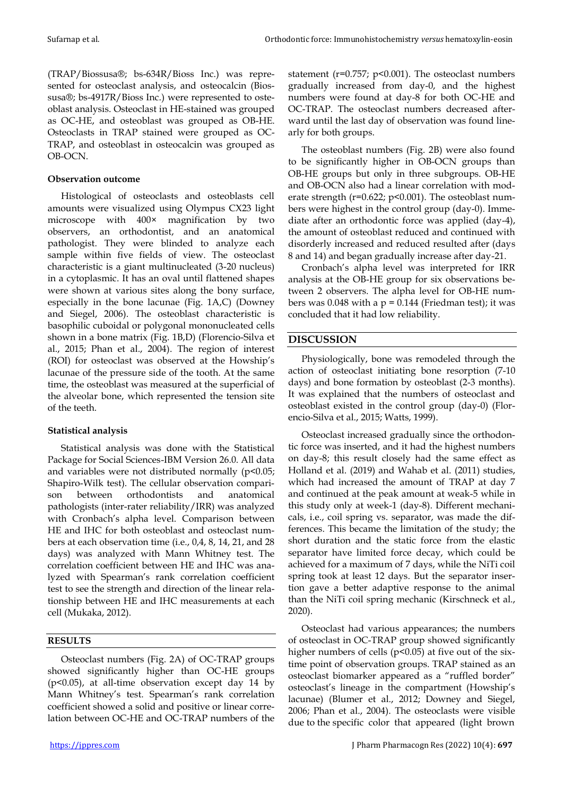(TRAP/Biossusa®; bs-634R/Bioss Inc.) was represented for osteoclast analysis, and osteocalcin (Biossusa®; bs-4917R/Bioss Inc.) were represented to osteoblast analysis. Osteoclast in HE-stained was grouped as OC-HE, and osteoblast was grouped as OB-HE. Osteoclasts in TRAP stained were grouped as OC-TRAP, and osteoblast in osteocalcin was grouped as OB-OCN.

## **Observation outcome**

Histological of osteoclasts and osteoblasts cell amounts were visualized using Olympus CX23 light microscope with 400× magnification by two observers, an orthodontist, and an anatomical pathologist. They were blinded to analyze each sample within five fields of view. The osteoclast characteristic is a giant multinucleated (3-20 nucleus) in a cytoplasmic. It has an oval until flattened shapes were shown at various sites along the bony surface, especially in the bone lacunae (Fig. 1A,C) (Downey and Siegel, 2006). The osteoblast characteristic is basophilic cuboidal or polygonal mononucleated cells shown in a bone matrix (Fig. 1B,D) (Florencio-Silva et al., 2015; Phan et al., 2004). The region of interest (ROI) for osteoclast was observed at the Howship's lacunae of the pressure side of the tooth. At the same time, the osteoblast was measured at the superficial of the alveolar bone, which represented the tension site of the teeth.

## **Statistical analysis**

Statistical analysis was done with the Statistical Package for Social Sciences-IBM Version 26.0. All data and variables were not distributed normally (p<0.05; Shapiro-Wilk test). The cellular observation comparison between orthodontists and anatomical pathologists (inter-rater reliability/IRR) was analyzed with Cronbach's alpha level. Comparison between HE and IHC for both osteoblast and osteoclast numbers at each observation time (i.e., 0,4, 8, 14, 21, and 28 days) was analyzed with Mann Whitney test. The correlation coefficient between HE and IHC was analyzed with Spearman's rank correlation coefficient test to see the strength and direction of the linear relationship between HE and IHC measurements at each cell (Mukaka, 2012).

## **RESULTS**

Osteoclast numbers (Fig. 2A) of OC-TRAP groups showed significantly higher than OC-HE groups (p<0.05), at all-time observation except day 14 by Mann Whitney's test. Spearman's rank correlation coefficient showed a solid and positive or linear correlation between OC-HE and OC-TRAP numbers of the

statement ( $r=0.757$ ;  $p<0.001$ ). The osteoclast numbers gradually increased from day-0, and the highest numbers were found at day-8 for both OC-HE and OC-TRAP. The osteoclast numbers decreased afterward until the last day of observation was found linearly for both groups.

The osteoblast numbers (Fig. 2B) were also found to be significantly higher in OB-OCN groups than OB-HE groups but only in three subgroups. OB-HE and OB-OCN also had a linear correlation with moderate strength (r=0.622; p<0.001). The osteoblast numbers were highest in the control group (day-0). Immediate after an orthodontic force was applied (day-4), the amount of osteoblast reduced and continued with disorderly increased and reduced resulted after (days 8 and 14) and began gradually increase after day-21.

Cronbach's alpha level was interpreted for IRR analysis at the OB-HE group for six observations between 2 observers. The alpha level for OB-HE numbers was 0.048 with a  $p = 0.144$  (Friedman test); it was concluded that it had low reliability.

## **DISCUSSION**

Physiologically, bone was remodeled through the action of osteoclast initiating bone resorption (7-10 days) and bone formation by osteoblast (2-3 months). It was explained that the numbers of osteoclast and osteoblast existed in the control group (day-0) (Florencio-Silva et al., 2015; Watts, 1999).

Osteoclast increased gradually since the orthodontic force was inserted, and it had the highest numbers on day-8; this result closely had the same effect as Holland et al. (2019) and Wahab et al. (2011) studies, which had increased the amount of TRAP at day 7 and continued at the peak amount at weak-5 while in this study only at week-1 (day-8). Different mechanicals, i.e., coil spring vs. separator, was made the differences. This became the limitation of the study; the short duration and the static force from the elastic separator have limited force decay, which could be achieved for a maximum of 7 days, while the NiTi coil spring took at least 12 days. But the separator insertion gave a better adaptive response to the animal than the NiTi coil spring mechanic (Kirschneck et al., 2020).

Osteoclast had various appearances; the numbers of osteoclast in OC-TRAP group showed significantly higher numbers of cells ( $p$ <0.05) at five out of the sixtime point of observation groups. TRAP stained as an osteoclast biomarker appeared as a "ruffled border" osteoclast's lineage in the compartment (Howship's lacunae) (Blumer et al., 2012; Downey and Siegel, 2006; Phan et al., 2004). The osteoclasts were visible due to the specific color that appeared (light brown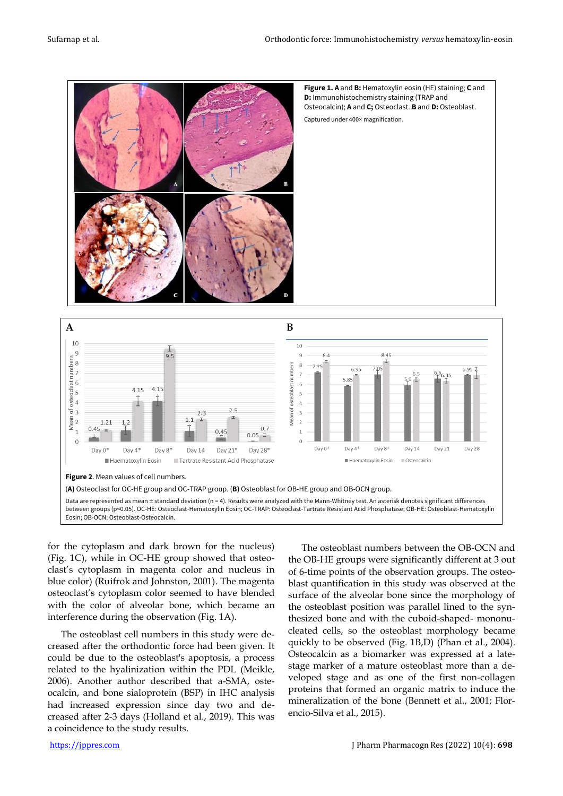



for the cytoplasm and dark brown for the nucleus) (Fig. 1C), while in OC-HE group showed that osteoclast's cytoplasm in magenta color and nucleus in blue color) (Ruifrok and Johnston, 2001). The magenta osteoclast's cytoplasm color seemed to have blended with the color of alveolar bone, which became an interference during the observation (Fig. 1A).

The osteoblast cell numbers in this study were decreased after the orthodontic force had been given. It could be due to the osteoblast's apoptosis, a process related to the hyalinization within the PDL (Meikle, 2006). Another author described that a-SMA, osteocalcin, and bone sialoprotein (BSP) in IHC analysis had increased expression since day two and decreased after 2-3 days (Holland et al., 2019). This was a coincidence to the study results.

The osteoblast numbers between the OB-OCN and the OB-HE groups were significantly different at 3 out of 6-time points of the observation groups. The osteoblast quantification in this study was observed at the surface of the alveolar bone since the morphology of the osteoblast position was parallel lined to the synthesized bone and with the cuboid-shaped- mononucleated cells, so the osteoblast morphology became quickly to be observed (Fig. 1B,D) (Phan et al., 2004). Osteocalcin as a biomarker was expressed at a latestage marker of a mature osteoblast more than a developed stage and as one of the first non-collagen proteins that formed an organic matrix to induce the mineralization of the bone (Bennett et al., 2001; Florencio-Silva et al., 2015).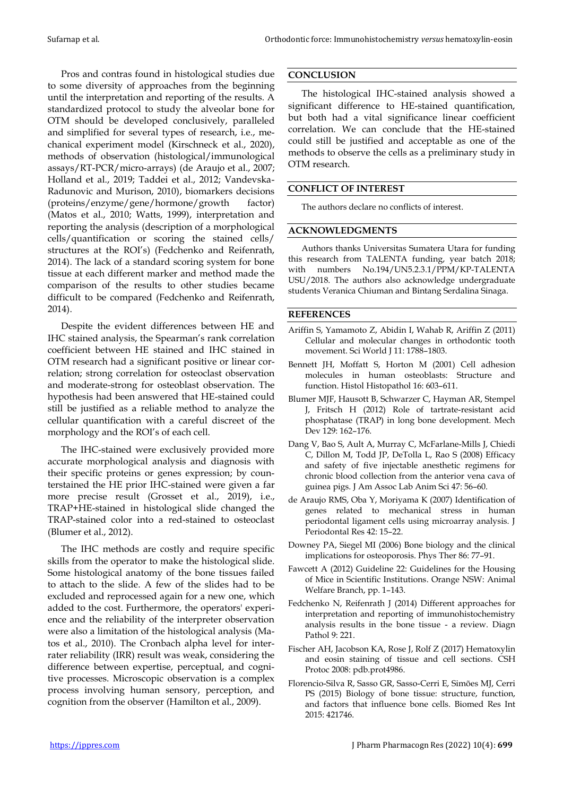Pros and contras found in histological studies due to some diversity of approaches from the beginning until the interpretation and reporting of the results. A standardized protocol to study the alveolar bone for OTM should be developed conclusively, paralleled and simplified for several types of research, i.e., mechanical experiment model (Kirschneck et al., 2020), methods of observation (histological/immunological assays/RT-PCR/micro-arrays) (de Araujo et al., 2007; Holland et al., 2019; Taddei et al., 2012; Vandevska-Radunovic and Murison, 2010), biomarkers decisions (proteins/enzyme/gene/hormone/growth factor) (Matos et al., 2010; Watts, 1999), interpretation and reporting the analysis (description of a morphological cells/quantification or scoring the stained cells/ structures at the ROI's) (Fedchenko and Reifenrath, 2014). The lack of a standard scoring system for bone tissue at each different marker and method made the comparison of the results to other studies became difficult to be compared (Fedchenko and Reifenrath, 2014).

Despite the evident differences between HE and IHC stained analysis, the Spearman's rank correlation coefficient between HE stained and IHC stained in OTM research had a significant positive or linear correlation; strong correlation for osteoclast observation and moderate-strong for osteoblast observation. The hypothesis had been answered that HE-stained could still be justified as a reliable method to analyze the cellular quantification with a careful discreet of the morphology and the ROI's of each cell.

The IHC-stained were exclusively provided more accurate morphological analysis and diagnosis with their specific proteins or genes expression; by counterstained the HE prior IHC-stained were given a far more precise result (Grosset et al., 2019), i.e., TRAP+HE-stained in histological slide changed the TRAP-stained color into a red-stained to osteoclast (Blumer et al., 2012).

The IHC methods are costly and require specific skills from the operator to make the histological slide. Some histological anatomy of the bone tissues failed to attach to the slide. A few of the slides had to be excluded and reprocessed again for a new one, which added to the cost. Furthermore, the operators' experience and the reliability of the interpreter observation were also a limitation of the histological analysis (Matos et al., 2010). The Cronbach alpha level for interrater reliability (IRR) result was weak, considering the difference between expertise, perceptual, and cognitive processes. Microscopic observation is a complex process involving human sensory, perception, and cognition from the observer (Hamilton et al., 2009).

## **CONCLUSION**

The histological IHC-stained analysis showed a significant difference to HE-stained quantification, but both had a vital significance linear coefficient correlation. We can conclude that the HE-stained could still be justified and acceptable as one of the methods to observe the cells as a preliminary study in OTM research.

### **CONFLICT OF INTEREST**

The authors declare no conflicts of interest.

#### **ACKNOWLEDGMENTS**

Authors thanks Universitas Sumatera Utara for funding this research from TALENTA funding, year batch 2018; with numbers No.194/UN5.2.3.1/PPM/KP-TALENTA USU/2018. The authors also acknowledge undergraduate students Veranica Chiuman and Bintang Serdalina Sinaga.

### **REFERENCES**

- Ariffin S, Yamamoto Z, Abidin I, Wahab R, Ariffin Z (2011) Cellular and molecular changes in orthodontic tooth movement. Sci World J 11: 1788-1803.
- Bennett JH, Moffatt S, Horton M (2001) Cell adhesion molecules in human osteoblasts: Structure and function. Histol Histopathol 16: 603–611.
- Blumer MJF, Hausott B, Schwarzer C, Hayman AR, Stempel J, Fritsch H (2012) Role of tartrate-resistant acid phosphatase (TRAP) in long bone development. Mech Dev 129: 162–176.
- Dang V, Bao S, Ault A, Murray C, McFarlane-Mills J, Chiedi C, Dillon M, Todd JP, DeTolla L, Rao S (2008) Efficacy and safety of five injectable anesthetic regimens for chronic blood collection from the anterior vena cava of guinea pigs. J Am Assoc Lab Anim Sci 47: 56–60.
- de Araujo RMS, Oba Y, Moriyama K (2007) Identification of genes related to mechanical stress in human periodontal ligament cells using microarray analysis. J Periodontal Res 42: 15–22.
- Downey PA, Siegel MI (2006) Bone biology and the clinical implications for osteoporosis. Phys Ther 86: 77–91.
- Fawcett A (2012) Guideline 22: Guidelines for the Housing of Mice in Scientific Institutions. Orange NSW: Animal Welfare Branch, pp. 1–143.
- Fedchenko N, Reifenrath J (2014) Different approaches for interpretation and reporting of immunohistochemistry analysis results in the bone tissue - a review. Diagn Pathol 9: 221.
- Fischer AH, Jacobson KA, Rose J, Rolf Z (2017) Hematoxylin and eosin staining of tissue and cell sections. CSH Protoc 2008: pdb.prot4986.
- Florencio-Silva R, Sasso GR, Sasso-Cerri E, Simões MJ, Cerri PS (2015) Biology of bone tissue: structure, function, and factors that influence bone cells. Biomed Res Int 2015: 421746.